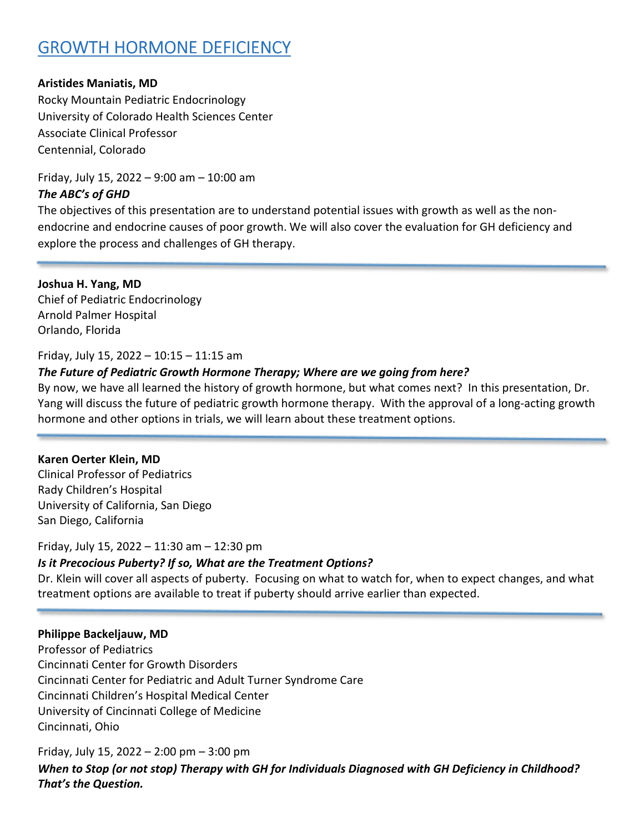# **GROWTH HORMONE DEFICIENCY**

## **Aristides Maniatis, MD**

Rocky Mountain Pediatric Endocrinology University of Colorado Health Sciences Center Associate Clinical Professor Centennial, Colorado

Friday, July 15, 2022 – 9:00 am – 10:00 am *The ABC's of GHD* 

The objectives of this presentation are to understand potential issues with growth as well as the nonendocrine and endocrine causes of poor growth. We will also cover the evaluation for GH deficiency and explore the process and challenges of GH therapy.

**Joshua H. Yang, MD** Chief of Pediatric Endocrinology Arnold Palmer Hospital Orlando, Florida

## Friday, July 15, 2022 – 10:15 – 11:15 am

## *The Future of Pediatric Growth Hormone Therapy; Where are we going from here?*

By now, we have all learned the history of growth hormone, but what comes next? In this presentation, Dr. Yang will discuss the future of pediatric growth hormone therapy. With the approval of a long-acting growth hormone and other options in trials, we will learn about these treatment options.

### **Karen Oerter Klein, MD**

Clinical Professor of Pediatrics Rady Children's Hospital University of California, San Diego San Diego, California

Friday, July 15, 2022 – 11:30 am – 12:30 pm

### *Is it Precocious Puberty? If so, What are the Treatment Options?*

Dr. Klein will cover all aspects of puberty. Focusing on what to watch for, when to expect changes, and what treatment options are available to treat if puberty should arrive earlier than expected.

### **Philippe Backeljauw, MD**

Professor of Pediatrics Cincinnati Center for Growth Disorders Cincinnati Center for Pediatric and Adult Turner Syndrome Care Cincinnati Children's Hospital Medical Center University of Cincinnati College of Medicine Cincinnati, Ohio

Friday, July 15, 2022 – 2:00 pm – 3:00 pm *When to Stop (or not stop) Therapy with GH for Individuals Diagnosed with GH Deficiency in Childhood? That's the Question.*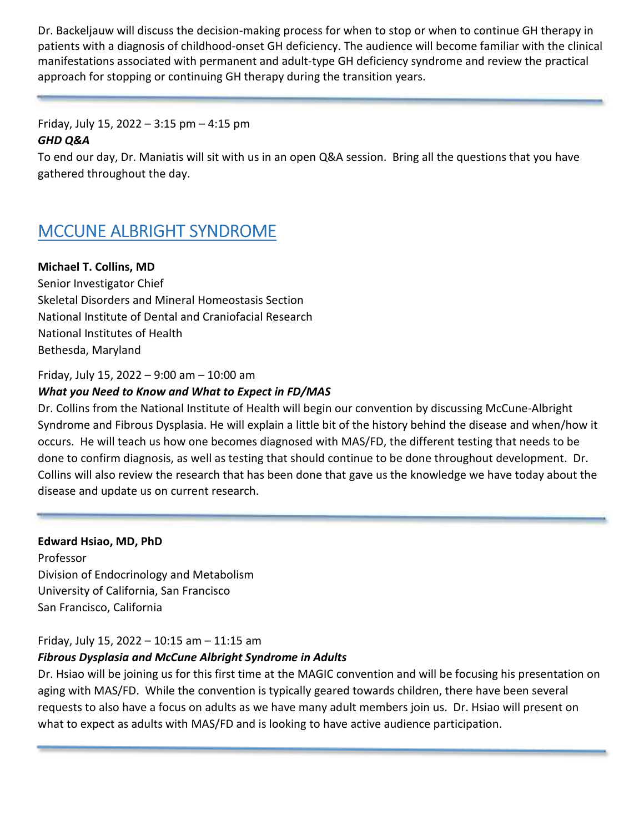Dr. Backeljauw will discuss the decision-making process for when to stop or when to continue GH therapy in patients with a diagnosis of childhood-onset GH deficiency. The audience will become familiar with the clinical manifestations associated with permanent and adult-type GH deficiency syndrome and review the practical approach for stopping or continuing GH therapy during the transition years.

Friday, July 15, 2022 – 3:15 pm – 4:15 pm *GHD Q&A* 

To end our day, Dr. Maniatis will sit with us in an open Q&A session. Bring all the questions that you have gathered throughout the day.

# MCCUNE ALBRIGHT SYNDROME

## **Michael T. Collins, MD**

Senior Investigator Chief Skeletal Disorders and Mineral Homeostasis Section National Institute of Dental and Craniofacial Research National Institutes of Health Bethesda, Maryland

## Friday, July 15, 2022 – 9:00 am – 10:00 am

## *What you Need to Know and What to Expect in FD/MAS*

Dr. Collins from the National Institute of Health will begin our convention by discussing McCune-Albright Syndrome and Fibrous Dysplasia. He will explain a little bit of the history behind the disease and when/how it occurs. He will teach us how one becomes diagnosed with MAS/FD, the different testing that needs to be done to confirm diagnosis, as well as testing that should continue to be done throughout development. Dr. Collins will also review the research that has been done that gave us the knowledge we have today about the disease and update us on current research.

## **Edward Hsiao, MD, PhD**

Professor Division of Endocrinology and Metabolism University of California, San Francisco San Francisco, California

## Friday, July 15, 2022 – 10:15 am – 11:15 am

## *Fibrous Dysplasia and McCune Albright Syndrome in Adults*

Dr. Hsiao will be joining us for this first time at the MAGIC convention and will be focusing his presentation on aging with MAS/FD. While the convention is typically geared towards children, there have been several requests to also have a focus on adults as we have many adult members join us. Dr. Hsiao will present on what to expect as adults with MAS/FD and is looking to have active audience participation.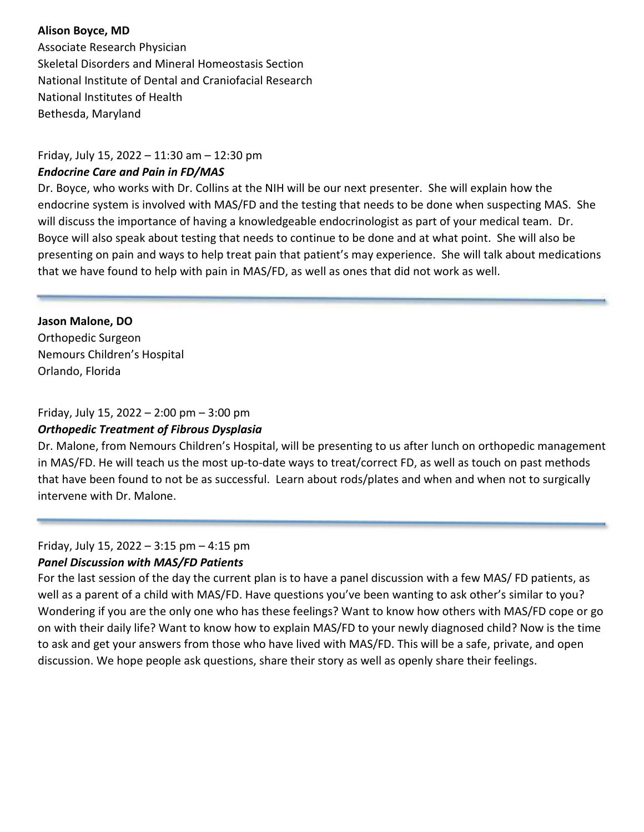## **Alison Boyce, MD**

Associate Research Physician Skeletal Disorders and Mineral Homeostasis Section National Institute of Dental and Craniofacial Research National Institutes of Health Bethesda, Maryland

## Friday, July 15, 2022 – 11:30 am – 12:30 pm

## *Endocrine Care and Pain in FD/MAS*

Dr. Boyce, who works with Dr. Collins at the NIH will be our next presenter. She will explain how the endocrine system is involved with MAS/FD and the testing that needs to be done when suspecting MAS. She will discuss the importance of having a knowledgeable endocrinologist as part of your medical team. Dr. Boyce will also speak about testing that needs to continue to be done and at what point. She will also be presenting on pain and ways to help treat pain that patient's may experience. She will talk about medications that we have found to help with pain in MAS/FD, as well as ones that did not work as well.

**Jason Malone, DO**  Orthopedic Surgeon Nemours Children's Hospital Orlando, Florida

## Friday, July 15, 2022 – 2:00 pm – 3:00 pm

## *Orthopedic Treatment of Fibrous Dysplasia*

Dr. Malone, from Nemours Children's Hospital, will be presenting to us after lunch on orthopedic management in MAS/FD. He will teach us the most up-to-date ways to treat/correct FD, as well as touch on past methods that have been found to not be as successful. Learn about rods/plates and when and when not to surgically intervene with Dr. Malone.

## Friday, July 15, 2022 – 3:15 pm – 4:15 pm *Panel Discussion with MAS/FD Patients*

For the last session of the day the current plan is to have a panel discussion with a few MAS/ FD patients, as well as a parent of a child with MAS/FD. Have questions you've been wanting to ask other's similar to you? Wondering if you are the only one who has these feelings? Want to know how others with MAS/FD cope or go on with their daily life? Want to know how to explain MAS/FD to your newly diagnosed child? Now is the time to ask and get your answers from those who have lived with MAS/FD. This will be a safe, private, and open discussion. We hope people ask questions, share their story as well as openly share their feelings.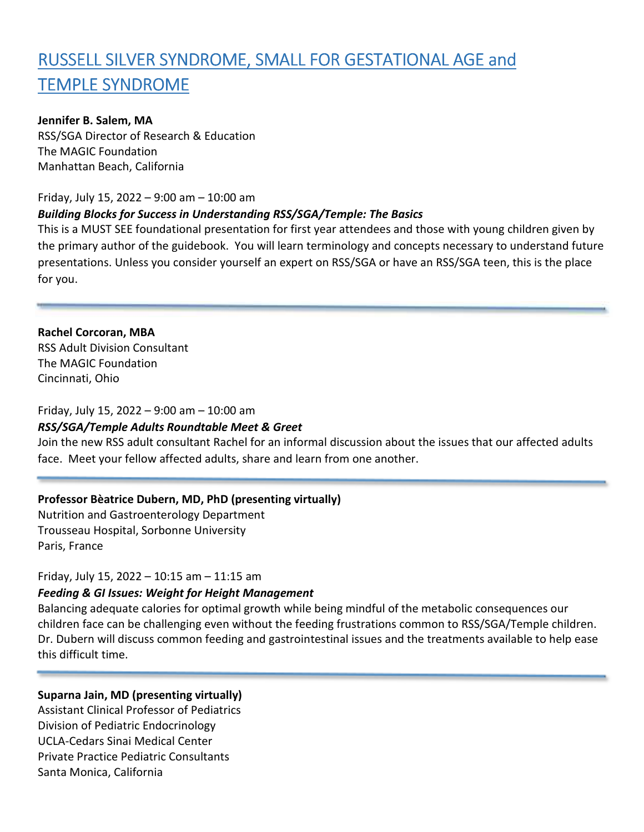# RUSSELL SILVER SYNDROME, SMALL FOR GESTATIONAL AGE and TEMPLE SYNDROME

## **Jennifer B. Salem, MA**

RSS/SGA Director of Research & Education The MAGIC Foundation Manhattan Beach, California

## Friday, July 15, 2022 – 9:00 am – 10:00 am

## *Building Blocks for Success in Understanding RSS/SGA/Temple: The Basics*

This is a MUST SEE foundational presentation for first year attendees and those with young children given by the primary author of the guidebook. You will learn terminology and concepts necessary to understand future presentations. Unless you consider yourself an expert on RSS/SGA or have an RSS/SGA teen, this is the place for you.

**Rachel Corcoran, MBA** RSS Adult Division Consultant The MAGIC Foundation Cincinnati, Ohio

## Friday, July 15, 2022 – 9:00 am – 10:00 am

### *RSS/SGA/Temple Adults Roundtable Meet & Greet*

Join the new RSS adult consultant Rachel for an informal discussion about the issues that our affected adults face. Meet your fellow affected adults, share and learn from one another.

## **Professor Bèatrice Dubern, MD, PhD (presenting virtually)**

Nutrition and Gastroenterology Department Trousseau Hospital, Sorbonne University Paris, France

### Friday, July 15, 2022 – 10:15 am – 11:15 am

## *Feeding & GI Issues: Weight for Height Management*

Balancing adequate calories for optimal growth while being mindful of the metabolic consequences our children face can be challenging even without the feeding frustrations common to RSS/SGA/Temple children. Dr. Dubern will discuss common feeding and gastrointestinal issues and the treatments available to help ease this difficult time.

### **Suparna Jain, MD (presenting virtually)**

Assistant Clinical Professor of Pediatrics Division of Pediatric Endocrinology UCLA-Cedars Sinai Medical Center Private Practice Pediatric Consultants Santa Monica, California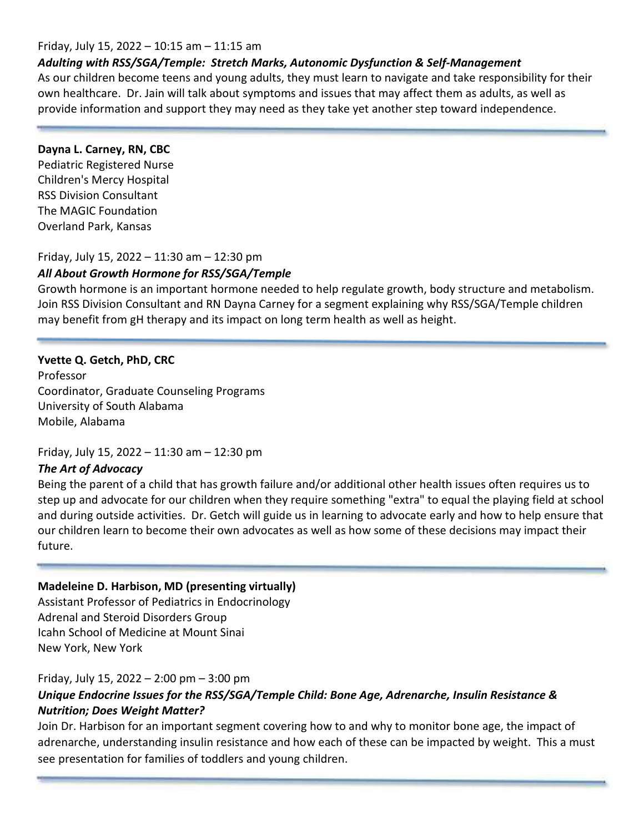## Friday, July 15, 2022 – 10:15 am – 11:15 am

## *Adulting with RSS/SGA/Temple: Stretch Marks, Autonomic Dysfunction & Self-Management*

As our children become teens and young adults, they must learn to navigate and take responsibility for their own healthcare. Dr. Jain will talk about symptoms and issues that may affect them as adults, as well as provide information and support they may need as they take yet another step toward independence.

## **Dayna L. Carney, RN, CBC**

Pediatric Registered Nurse Children's Mercy Hospital RSS Division Consultant The MAGIC Foundation Overland Park, Kansas

## Friday, July 15, 2022 – 11:30 am – 12:30 pm

## *All About Growth Hormone for RSS/SGA/Temple*

Growth hormone is an important hormone needed to help regulate growth, body structure and metabolism. Join RSS Division Consultant and RN Dayna Carney for a segment explaining why RSS/SGA/Temple children may benefit from gH therapy and its impact on long term health as well as height.

## **Yvette Q. Getch, PhD, CRC**

Professor Coordinator, Graduate Counseling Programs University of South Alabama Mobile, Alabama

### Friday, July 15, 2022 – 11:30 am – 12:30 pm

### *The Art of Advocacy*

Being the parent of a child that has growth failure and/or additional other health issues often requires us to step up and advocate for our children when they require something "extra" to equal the playing field at school and during outside activities. Dr. Getch will guide us in learning to advocate early and how to help ensure that our children learn to become their own advocates as well as how some of these decisions may impact their future.

## **Madeleine D. Harbison, MD (presenting virtually)**

Assistant Professor of Pediatrics in Endocrinology Adrenal and Steroid Disorders Group Icahn School of Medicine at Mount Sinai New York, New York

### Friday, July 15, 2022 – 2:00 pm – 3:00 pm

## *Unique Endocrine Issues for the RSS/SGA/Temple Child: Bone Age, Adrenarche, Insulin Resistance & Nutrition; Does Weight Matter?*

Join Dr. Harbison for an important segment covering how to and why to monitor bone age, the impact of adrenarche, understanding insulin resistance and how each of these can be impacted by weight. This a must see presentation for families of toddlers and young children.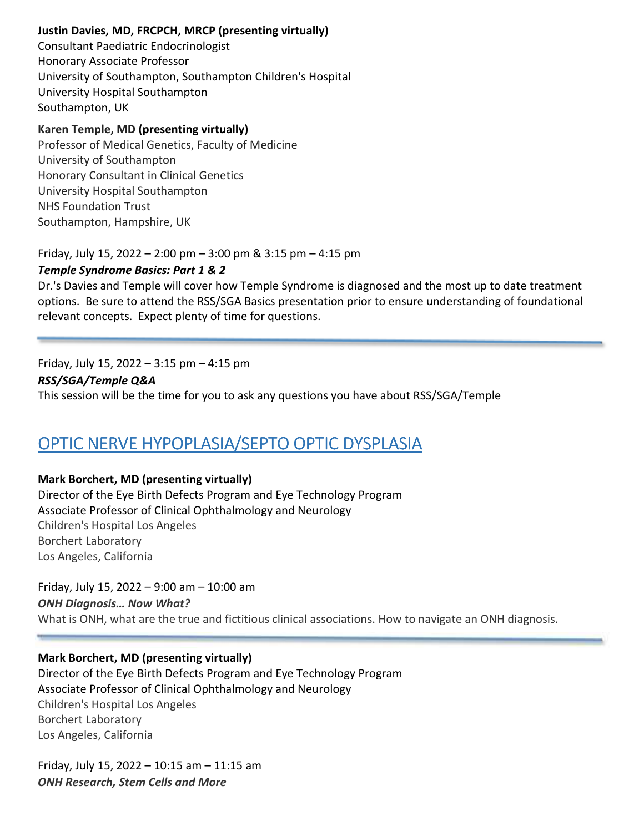## **Justin Davies, MD, FRCPCH, MRCP (presenting virtually)**

Consultant Paediatric Endocrinologist Honorary Associate Professor University of Southampton, Southampton Children's Hospital University Hospital Southampton Southampton, UK

## **Karen Temple, MD (presenting virtually)**

Professor of Medical Genetics, Faculty of Medicine University of Southampton Honorary Consultant in Clinical Genetics University Hospital Southampton NHS Foundation Trust Southampton, Hampshire, UK

Friday, July 15, 2022 – 2:00 pm – 3:00 pm & 3:15 pm – 4:15 pm

## *Temple Syndrome Basics: Part 1 & 2*

Dr.'s Davies and Temple will cover how Temple Syndrome is diagnosed and the most up to date treatment options. Be sure to attend the RSS/SGA Basics presentation prior to ensure understanding of foundational relevant concepts. Expect plenty of time for questions.

## Friday, July 15, 2022 – 3:15 pm – 4:15 pm

## *RSS/SGA/Temple Q&A*

This session will be the time for you to ask any questions you have about RSS/SGA/Temple

# OPTIC NERVE HYPOPLASIA/SEPTO OPTIC DYSPLASIA

## **Mark Borchert, MD (presenting virtually)**

Director of the Eye Birth Defects Program and Eye Technology Program Associate Professor of Clinical Ophthalmology and Neurology Children's Hospital Los Angeles Borchert Laboratory Los Angeles, California

Friday, July 15, 2022 – 9:00 am – 10:00 am *ONH Diagnosis… Now What?*  What is ONH, what are the true and fictitious clinical associations. How to navigate an ONH diagnosis.

## **Mark Borchert, MD (presenting virtually)**

Director of the Eye Birth Defects Program and Eye Technology Program Associate Professor of Clinical Ophthalmology and Neurology Children's Hospital Los Angeles Borchert Laboratory Los Angeles, California

Friday, July 15, 2022 – 10:15 am – 11:15 am *ONH Research, Stem Cells and More*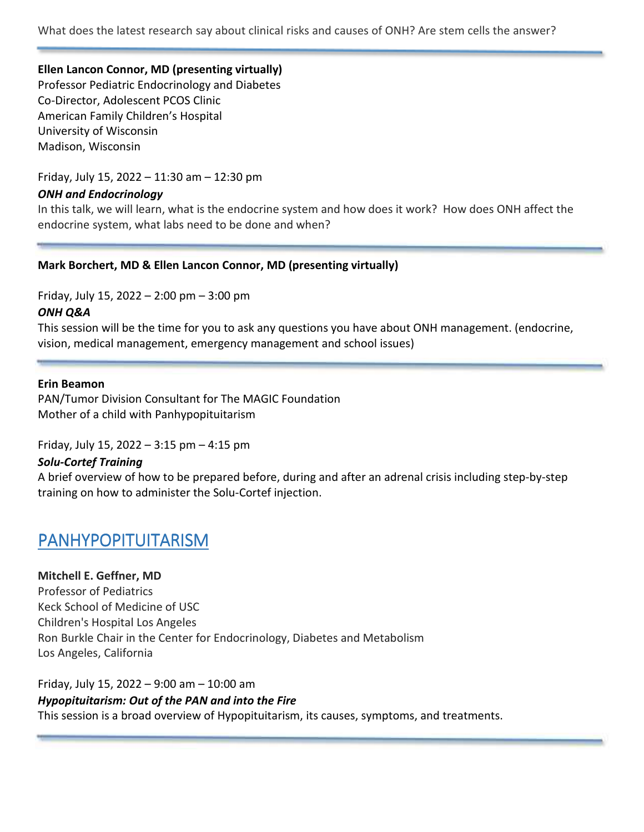What does the latest research say about clinical risks and causes of ONH? Are stem cells the answer?

## **Ellen Lancon Connor, MD (presenting virtually)**

Professor Pediatric Endocrinology and Diabetes Co-Director, Adolescent PCOS Clinic American Family Children's Hospital University of Wisconsin Madison, Wisconsin

Friday, July 15, 2022 – 11:30 am – 12:30 pm

## *ONH and Endocrinology*

In this talk, we will learn, what is the endocrine system and how does it work? How does ONH affect the endocrine system, what labs need to be done and when?

## **Mark Borchert, MD & Ellen Lancon Connor, MD (presenting virtually)**

Friday, July 15, 2022 – 2:00 pm – 3:00 pm

## *ONH Q&A*

This session will be the time for you to ask any questions you have about ONH management. (endocrine, vision, medical management, emergency management and school issues)

### **Erin Beamon**

PAN/Tumor Division Consultant for The MAGIC Foundation Mother of a child with Panhypopituitarism

Friday, July 15, 2022 – 3:15 pm – 4:15 pm

### *Solu-Cortef Training*

A brief overview of how to be prepared before, during and after an adrenal crisis including step-by-step training on how to administer the Solu-Cortef injection.

## PANHYPOPITUITARISM

**Mitchell E. Geffner, MD** Professor of Pediatrics Keck School of Medicine of USC Children's Hospital Los Angeles Ron Burkle Chair in the Center for Endocrinology, Diabetes and Metabolism Los Angeles, California

Friday, July 15, 2022 – 9:00 am – 10:00 am *Hypopituitarism: Out of the PAN and into the Fire*  This session is a broad overview of Hypopituitarism, its causes, symptoms, and treatments.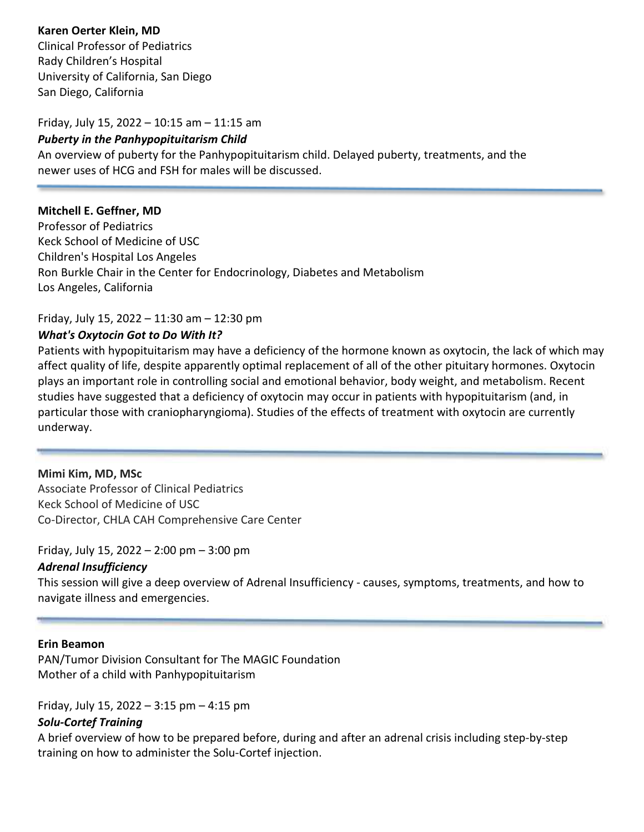## **Karen Oerter Klein, MD**

Clinical Professor of Pediatrics Rady Children's Hospital University of California, San Diego San Diego, California

#### Friday, July 15, 2022 – 10:15 am – 11:15 am

#### *Puberty in the Panhypopituitarism Child*

An overview of puberty for the Panhypopituitarism child. Delayed puberty, treatments, and the newer uses of HCG and FSH for males will be discussed.

### **Mitchell E. Geffner, MD**

Professor of Pediatrics Keck School of Medicine of USC Children's Hospital Los Angeles Ron Burkle Chair in the Center for Endocrinology, Diabetes and Metabolism Los Angeles, California

## Friday, July 15, 2022 – 11:30 am – 12:30 pm

## *What's Oxytocin Got to Do With It?*

Patients with hypopituitarism may have a deficiency of the hormone known as oxytocin, the lack of which may affect quality of life, despite apparently optimal replacement of all of the other pituitary hormones. Oxytocin plays an important role in controlling social and emotional behavior, body weight, and metabolism. Recent studies have suggested that a deficiency of oxytocin may occur in patients with hypopituitarism (and, in particular those with craniopharyngioma). Studies of the effects of treatment with oxytocin are currently underway.

### **Mimi Kim, MD, MSc**

Associate Professor of Clinical Pediatrics Keck School of Medicine of USC Co-Director, CHLA CAH Comprehensive Care Center

### Friday, July 15, 2022 – 2:00 pm – 3:00 pm

### *Adrenal Insufficiency*

This session will give a deep overview of Adrenal Insufficiency - causes, symptoms, treatments, and how to navigate illness and emergencies.

### **Erin Beamon**

PAN/Tumor Division Consultant for The MAGIC Foundation Mother of a child with Panhypopituitarism

Friday, July 15, 2022 – 3:15 pm – 4:15 pm

### *Solu-Cortef Training*

A brief overview of how to be prepared before, during and after an adrenal crisis including step-by-step training on how to administer the Solu-Cortef injection.